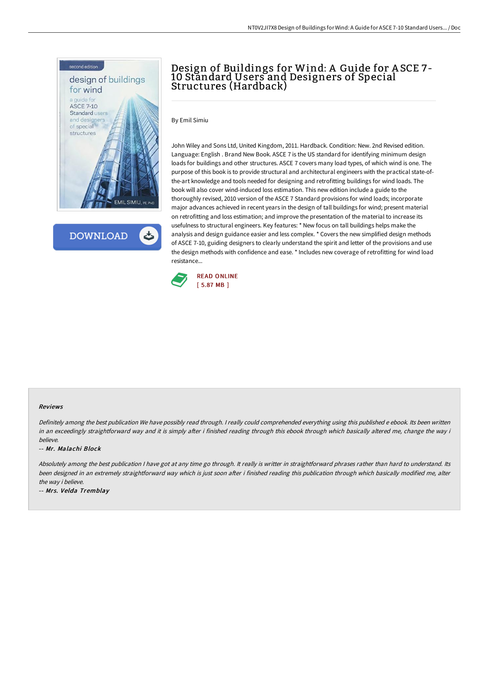

**DOWNLOAD** 

## Design of Buildings for Wind: A Guide for A SCE 7- 10 Standard Users and Designers of Special Structures (Hardback)

By Emil Simiu

John Wiley and Sons Ltd, United Kingdom, 2011. Hardback. Condition: New. 2nd Revised edition. Language: English . Brand New Book. ASCE 7 is the US standard for identifying minimum design loads for buildings and other structures. ASCE 7 covers many load types, of which wind is one. The purpose of this book is to provide structural and architectural engineers with the practical state-ofthe-art knowledge and tools needed for designing and retrofitting buildings for wind loads. The book will also cover wind-induced loss estimation. This new edition include a guide to the thoroughly revised, 2010 version of the ASCE 7 Standard provisions for wind loads; incorporate major advances achieved in recent years in the design of tall buildings for wind; present material on retrofitting and loss estimation; and improve the presentation of the material to increase its usefulness to structural engineers. Key features: \* New focus on tall buildings helps make the analysis and design guidance easier and less complex. \* Covers the new simplified design methods of ASCE 7-10, guiding designers to clearly understand the spirit and letter of the provisions and use the design methods with confidence and ease. \* Includes new coverage of retrofitting for wind load resistance...



## Reviews

Definitely among the best publication We have possibly read through. <sup>I</sup> really could comprehended everything using this published <sup>e</sup> ebook. Its been written in an exceedingly straightforward way and it is simply after i finished reading through this ebook through which basically altered me, change the way i believe.

## -- Mr. Malachi Block

Absolutely among the best publication I have got at any time go through. It really is writter in straightforward phrases rather than hard to understand. Its been designed in an extremely straightforward way which is just soon after i finished reading this publication through which basically modified me, alter the way i believe.

-- Mrs. Velda Tremblay